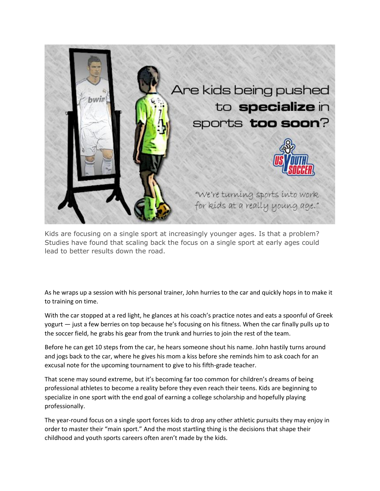

Kids are focusing on a single sport at increasingly younger ages. Is that a problem? Studies have found that scaling back the focus on a single sport at early ages could lead to better results down the road.

As he wraps up a session with his personal trainer, John hurries to the car and quickly hops in to make it to training on time.

With the car stopped at a red light, he glances at his coach's practice notes and eats a spoonful of Greek yogurt — just a few berries on top because he's focusing on his fitness. When the car finally pulls up to the soccer field, he grabs his gear from the trunk and hurries to join the rest of the team.

Before he can get 10 steps from the car, he hears someone shout his name. John hastily turns around and jogs back to the car, where he gives his mom a kiss before she reminds him to ask coach for an excusal note for the upcoming tournament to give to his fifth-grade teacher.

That scene may sound extreme, but it's becoming far too common for children's dreams of being professional athletes to become a reality before they even reach their teens. Kids are beginning to specialize in one sport with the end goal of earning a college scholarship and hopefully playing professionally.

The year-round focus on a single sport forces kids to drop any other athletic pursuits they may enjoy in order to master their "main sport." And the most startling thing is the decisions that shape their childhood and youth sports careers often aren't made by the kids.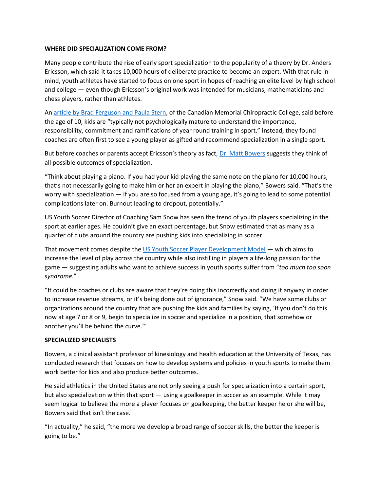## **WHERE DID SPECIALIZATION COME FROM?**

Many people contribute the rise of early sport specialization to the popularity of a theory by Dr. Anders Ericsson, which said it takes 10,000 hours of deliberate practice to become an expert. With that rule in mind, youth athletes have started to focus on one sport in hopes of reaching an elite level by high school and college — even though Ericsson's original work was intended for musicians, mathematicians and chess players, rather than athletes.

An [article by Brad Ferguson and Paula Stern,](http://www.ncbi.nlm.nih.gov/pmc/articles/PMC4262816/) of the Canadian Memorial Chiropractic College, said before the age of 10, kids are "typically not psychologically mature to understand the importance, responsibility, commitment and ramifications of year round training in sport." Instead, they found coaches are often first to see a young player as gifted and recommend specialization in a single sport.

But before coaches or parents accept Ericsson's theory as fact, [Dr. Matt Bowers](http://www.edb.utexas.edu/education/departments/khe/about/faculty/bowers/) suggests they think of all possible outcomes of specialization.

"Think about playing a piano. If you had your kid playing the same note on the piano for 10,000 hours, that's not necessarily going to make him or her an expert in playing the piano," Bowers said. "That's the worry with specialization — if you are so focused from a young age, it's going to lead to some potential complications later on. Burnout leading to dropout, potentially."

US Youth Soccer Director of Coaching Sam Snow has seen the trend of youth players specializing in the sport at earlier ages. He couldn't give an exact percentage, but Snow estimated that as many as a quarter of clubs around the country are pushing kids into specializing in soccer.

That movement comes despite the [US Youth Soccer Player Development Model](http://www.usyouthsoccer.org/FileDownload.aspx?D=H04LedicPHZLYb0K2SBquyCHmzz%20IZ0FGeVdGiZnHe0=) — which aims to increase the level of play across the country while also instilling in players a life-long passion for the game — suggesting adults who want to achieve success in youth sports suffer from "*too much too soon syndrome*."

"It could be coaches or clubs are aware that they're doing this incorrectly and doing it anyway in order to increase revenue streams, or it's being done out of ignorance," Snow said. "We have some clubs or organizations around the country that are pushing the kids and families by saying, 'If you don't do this now at age 7 or 8 or 9, begin to specialize in soccer and specialize in a position, that somehow or another you'll be behind the curve.'"

### **SPECIALIZED SPECIALISTS**

Bowers, a clinical assistant professor of kinesiology and health education at the University of Texas, has conducted research that focuses on how to develop systems and policies in youth sports to make them work better for kids and also produce better outcomes.

He said athletics in the United States are not only seeing a push for specialization into a certain sport, but also specialization within that sport — using a goalkeeper in soccer as an example. While it may seem logical to believe the more a player focuses on goalkeeping, the better keeper he or she will be, Bowers said that isn't the case.

"In actuality," he said, "the more we develop a broad range of soccer skills, the better the keeper is going to be."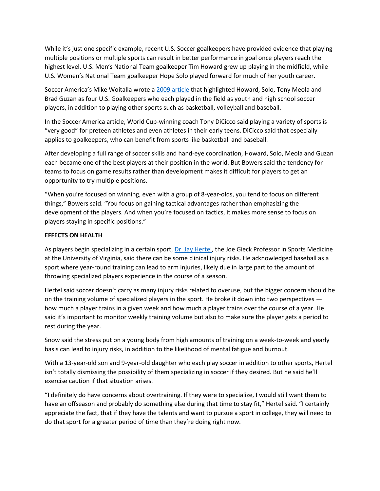While it's just one specific example, recent U.S. Soccer goalkeepers have provided evidence that playing multiple positions or multiple sports can result in better performance in goal once players reach the highest level. U.S. Men's National Team goalkeeper Tim Howard grew up playing in the midfield, while U.S. Women's National Team goalkeeper Hope Solo played forward for much of her youth career.

Soccer America's Mike Woitalla wrote a [2009 article](http://www.socceramerica.com/article/30861/youth-beat-field-play-makes-better-keepers.html) that highlighted Howard, Solo, Tony Meola and Brad Guzan as four U.S. Goalkeepers who each played in the field as youth and high school soccer players, in addition to playing other sports such as basketball, volleyball and baseball.

In the Soccer America article, World Cup-winning coach Tony DiCicco said playing a variety of sports is "very good" for preteen athletes and even athletes in their early teens. DiCicco said that especially applies to goalkeepers, who can benefit from sports like basketball and baseball.

After developing a full range of soccer skills and hand-eye coordination, Howard, Solo, Meola and Guzan each became one of the best players at their position in the world. But Bowers said the tendency for teams to focus on game results rather than development makes it difficult for players to get an opportunity to try multiple positions.

"When you're focused on winning, even with a group of 8-year-olds, you tend to focus on different things," Bowers said. "You focus on gaining tactical advantages rather than emphasizing the development of the players. And when you're focused on tactics, it makes more sense to focus on players staying in specific positions."

### **EFFECTS ON HEALTH**

As players begin specializing in a certain sport, [Dr. Jay Hertel,](http://curry.virginia.edu/about/directory/jay-hertel) the Joe Gieck Professor in Sports Medicine at the University of Virginia, said there can be some clinical injury risks. He acknowledged baseball as a sport where year-round training can lead to arm injuries, likely due in large part to the amount of throwing specialized players experience in the course of a season.

Hertel said soccer doesn't carry as many injury risks related to overuse, but the bigger concern should be on the training volume of specialized players in the sport. He broke it down into two perspectives how much a player trains in a given week and how much a player trains over the course of a year. He said it's important to monitor weekly training volume but also to make sure the player gets a period to rest during the year.

Snow said the stress put on a young body from high amounts of training on a week-to-week and yearly basis can lead to injury risks, in addition to the likelihood of mental fatigue and burnout.

With a 13-year-old son and 9-year-old daughter who each play soccer in addition to other sports, Hertel isn't totally dismissing the possibility of them specializing in soccer if they desired. But he said he'll exercise caution if that situation arises.

"I definitely do have concerns about overtraining. If they were to specialize, I would still want them to have an offseason and probably do something else during that time to stay fit," Hertel said. "I certainly appreciate the fact, that if they have the talents and want to pursue a sport in college, they will need to do that sport for a greater period of time than they're doing right now.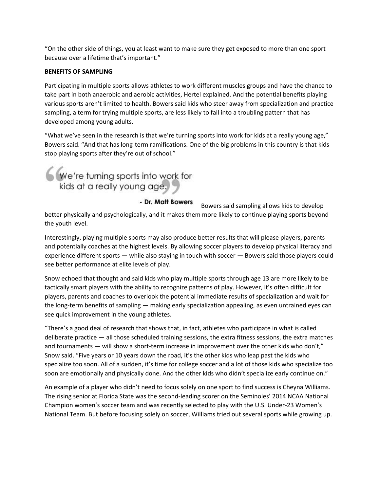"On the other side of things, you at least want to make sure they get exposed to more than one sport because over a lifetime that's important."

## **BENEFITS OF SAMPLING**

Participating in multiple sports allows athletes to work different muscles groups and have the chance to take part in both anaerobic and aerobic activities, Hertel explained. And the potential benefits playing various sports aren't limited to health. Bowers said kids who steer away from specialization and practice sampling, a term for trying multiple sports, are less likely to fall into a troubling pattern that has developed among young adults.

"What we've seen in the research is that we're turning sports into work for kids at a really young age," Bowers said. "And that has long-term ramifications. One of the big problems in this country is that kids stop playing sports after they're out of school."

We're turning sports into work for<br>kids at a really young age.

- Dr. Matt Bowers Bowers said sampling allows kids to develop better physically and psychologically, and it makes them more likely to continue playing sports beyond the youth level.

Interestingly, playing multiple sports may also produce better results that will please players, parents and potentially coaches at the highest levels. By allowing soccer players to develop physical literacy and experience different sports — while also staying in touch with soccer — Bowers said those players could see better performance at elite levels of play.

Snow echoed that thought and said kids who play multiple sports through age 13 are more likely to be tactically smart players with the ability to recognize patterns of play. However, it's often difficult for players, parents and coaches to overlook the potential immediate results of specialization and wait for the long-term benefits of sampling — making early specialization appealing, as even untrained eyes can see quick improvement in the young athletes.

"There's a good deal of research that shows that, in fact, athletes who participate in what is called deliberate practice — all those scheduled training sessions, the extra fitness sessions, the extra matches and tournaments — will show a short-term increase in improvement over the other kids who don't," Snow said. "Five years or 10 years down the road, it's the other kids who leap past the kids who specialize too soon. All of a sudden, it's time for college soccer and a lot of those kids who specialize too soon are emotionally and physically done. And the other kids who didn't specialize early continue on."

An example of a player who didn't need to focus solely on one sport to find success is Cheyna Williams. The rising senior at Florida State was the second-leading scorer on the Seminoles' 2014 NCAA National Champion women's soccer team and was recently selected to play with the U.S. Under-23 Women's National Team. But before focusing solely on soccer, Williams tried out several sports while growing up.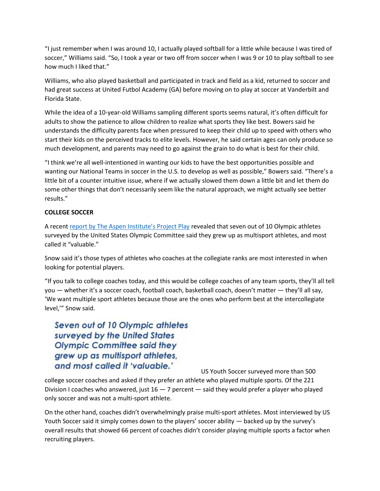"I just remember when I was around 10, I actually played softball for a little while because I was tired of soccer," Williams said. "So, I took a year or two off from soccer when I was 9 or 10 to play softball to see how much I liked that."

Williams, who also played basketball and participated in track and field as a kid, returned to soccer and had great success at United Futbol Academy (GA) before moving on to play at soccer at Vanderbilt and Florida State.

While the idea of a 10-year-old Williams sampling different sports seems natural, it's often difficult for adults to show the patience to allow children to realize what sports they like best. Bowers said he understands the difficulty parents face when pressured to keep their child up to speed with others who start their kids on the perceived tracks to elite levels. However, he said certain ages can only produce so much development, and parents may need to go against the grain to do what is best for their child.

"I think we're all well-intentioned in wanting our kids to have the best opportunities possible and wanting our National Teams in soccer in the U.S. to develop as well as possible," Bowers said. "There's a little bit of a counter intuitive issue, where if we actually slowed them down a little bit and let them do some other things that don't necessarily seem like the natural approach, we might actually see better results."

# **COLLEGE SOCCER**

A recent [report by The Aspen Institute's Project Play](http://youthreport.projectplay.us/) revealed that seven out of 10 Olympic athletes surveyed by the United States Olympic Committee said they grew up as multisport athletes, and most called it "valuable."

Snow said it's those types of athletes who coaches at the collegiate ranks are most interested in when looking for potential players.

"If you talk to college coaches today, and this would be college coaches of any team sports, they'll all tell you — whether it's a soccer coach, football coach, basketball coach, doesn't matter — they'll all say, 'We want multiple sport athletes because those are the ones who perform best at the intercollegiate level,'" Snow said.

Seven out of 10 Olympic athletes surveyed by the United States **Olympic Committee said they** grew up as multisport athletes, and most called it 'valuable.'

US Youth Soccer surveyed more than 500

college soccer coaches and asked if they prefer an athlete who played multiple sports. Of the 221 Division I coaches who answered, just  $16 - 7$  percent  $-$  said they would prefer a player who played only soccer and was not a multi-sport athlete.

On the other hand, coaches didn't overwhelmingly praise multi-sport athletes. Most interviewed by US Youth Soccer said it simply comes down to the players' soccer ability — backed up by the survey's overall results that showed 66 percent of coaches didn't consider playing multiple sports a factor when recruiting players.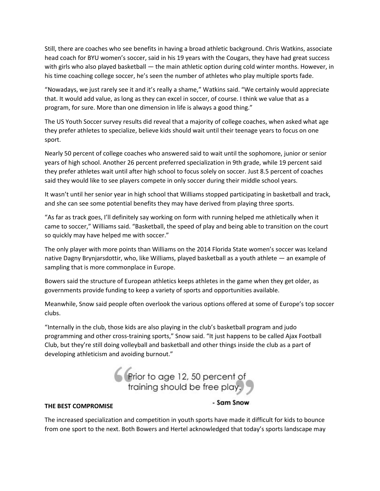Still, there are coaches who see benefits in having a broad athletic background. Chris Watkins, associate head coach for BYU women's soccer, said in his 19 years with the Cougars, they have had great success with girls who also played basketball — the main athletic option during cold winter months. However, in his time coaching college soccer, he's seen the number of athletes who play multiple sports fade.

"Nowadays, we just rarely see it and it's really a shame," Watkins said. "We certainly would appreciate that. It would add value, as long as they can excel in soccer, of course. I think we value that as a program, for sure. More than one dimension in life is always a good thing."

The US Youth Soccer survey results did reveal that a majority of college coaches, when asked what age they prefer athletes to specialize, believe kids should wait until their teenage years to focus on one sport.

Nearly 50 percent of college coaches who answered said to wait until the sophomore, junior or senior years of high school. Another 26 percent preferred specialization in 9th grade, while 19 percent said they prefer athletes wait until after high school to focus solely on soccer. Just 8.5 percent of coaches said they would like to see players compete in only soccer during their middle school years.

It wasn't until her senior year in high school that Williams stopped participating in basketball and track, and she can see some potential benefits they may have derived from playing three sports.

"As far as track goes, I'll definitely say working on form with running helped me athletically when it came to soccer," Williams said. "Basketball, the speed of play and being able to transition on the court so quickly may have helped me with soccer."

The only player with more points than Williams on the 2014 Florida State women's soccer was Iceland native Dagny Brynjarsdottir, who, like Williams, played basketball as a youth athlete — an example of sampling that is more commonplace in Europe.

Bowers said the structure of European athletics keeps athletes in the game when they get older, as governments provide funding to keep a variety of sports and opportunities available.

Meanwhile, Snow said people often overlook the various options offered at some of Europe's top soccer clubs.

"Internally in the club, those kids are also playing in the club's basketball program and judo programming and other cross-training sports," Snow said. "It just happens to be called Ajax Football Club, but they're still doing volleyball and basketball and other things inside the club as a part of developing athleticism and avoiding burnout."



### **THE BEST COMPROMISE**

### - Sam Snow

The increased specialization and competition in youth sports have made it difficult for kids to bounce from one sport to the next. Both Bowers and Hertel acknowledged that today's sports landscape may